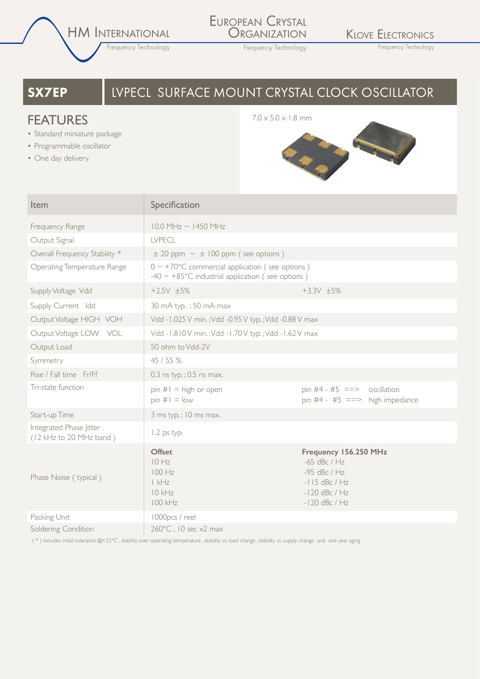HM INTERNATIONAL

Frequency Technology

### EUROPEAN CRYSTAL **ORGANIZATION**

KLOVE ELECTRONICS

Frequency Technology Frequency Technology

# **SX7EP I** LVPECL SURFACE MOUNT CRYSTAL CLOCK OSCILLATOR

## **FEATURES** 7.0 x 5.0 x 1.8 mm

- Standard miniature package
- Programmable oscillator
- One day delivery



| Item                                               | Specification                                                                                                                |                                                                                                                    |  |  |
|----------------------------------------------------|------------------------------------------------------------------------------------------------------------------------------|--------------------------------------------------------------------------------------------------------------------|--|--|
| Frequency Range                                    | $10.0$ MHz ~ $1450$ MHz                                                                                                      |                                                                                                                    |  |  |
| Output Signal                                      | <b>LVPECL</b>                                                                                                                |                                                                                                                    |  |  |
| Overall Frequency Stability *                      | $\pm$ 20 ppm $\sim \pm$ 100 ppm (see options)                                                                                |                                                                                                                    |  |  |
| Operating Temperature Range                        | $0 \sim +70^{\circ}$ C commercial application (see options)<br>$-40 \sim +85^{\circ}$ C industrial application (see options) |                                                                                                                    |  |  |
| Supply Voltage Vdd                                 | $+2.5V$ $\pm 5%$                                                                                                             | $+3.3V$ $\pm 5\%$                                                                                                  |  |  |
| Supply Current Idd                                 | 30 mA typ. ; 50 mA max                                                                                                       |                                                                                                                    |  |  |
| Output Voltage HIGH VOH                            | Vdd - I.025 V min.; Vdd -0.95 V typ.; Vdd -0.88 V max                                                                        |                                                                                                                    |  |  |
| Output Voltage LOW VOL                             | Vdd - I.810V min.; Vdd - I.70V typ.; Vdd - I.62V max                                                                         |                                                                                                                    |  |  |
| Output Load                                        | 50 ohm to Vdd-2V                                                                                                             |                                                                                                                    |  |  |
| Symmetry                                           | 45 / 55 %                                                                                                                    |                                                                                                                    |  |  |
| Rise / Fall time Fr/Ff                             | 0.3 ns typ.; 0.5 ns max.                                                                                                     |                                                                                                                    |  |  |
| Tri-state function                                 | $pin #1 = high or open$<br>$pin #I = low$                                                                                    | pin #4 - #5 ==> oscillation<br>pin #4 - #5 ==> high impedance                                                      |  |  |
| Start-up Time                                      | 3 ms typ.; 10 ms max.                                                                                                        |                                                                                                                    |  |  |
| Integrated Phase litter<br>(12 kHz to 20 MHz band) | 1.2 ps typ.                                                                                                                  |                                                                                                                    |  |  |
| Phase Noise (typical)                              | <b>Offset</b><br>10 Hz<br>100 Hz<br> kHz <br>$10$ kHz<br>100 kHz                                                             | Frequency 156.250 MHz<br>$-65$ dBc / Hz<br>$-95$ dBc / Hz<br>$-115$ dBc / Hz<br>$-120$ dBc / Hz<br>$-120$ dBc / Hz |  |  |
| Packing Unit                                       | 1000pcs / reel                                                                                                               |                                                                                                                    |  |  |
| Soldering Condition                                | 260°C, 10 sec x2 max                                                                                                         |                                                                                                                    |  |  |

( \* ) Includes initial tolerance @+25°C , stability over operating temperature , stability vs. load change , stability vs. supply change and one year aging